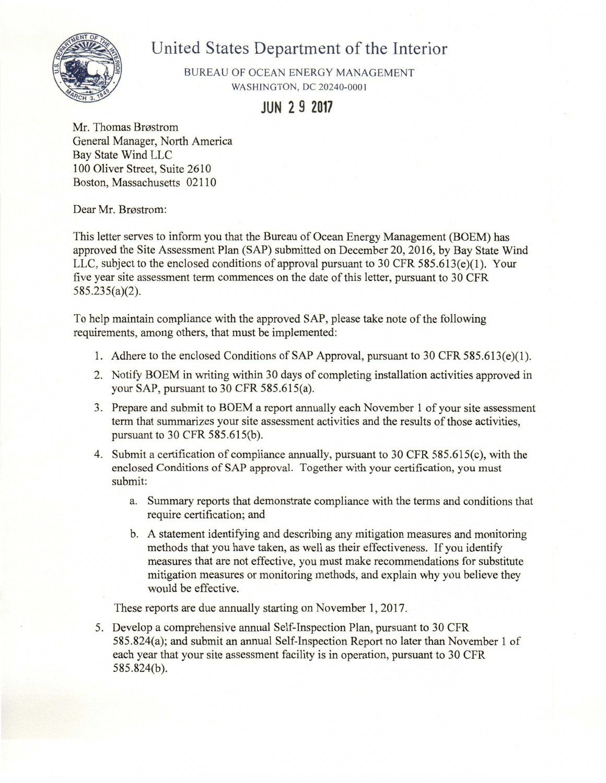# United States Department of the Interior



BUREAU OF OCEAN ENERGY MANAGEMENT **WASHINGTON, DC 20240-0001** 

**JUN 2 9 2017** 

Mr. Thomas Brøstrom General Manager, North America **Bay State Wind LLC** 100 Oliver Street, Suite 2610 Boston, Massachusetts 02110

Dear Mr. Brøstrom:

This letter serves to inform you that the Bureau of Ocean Energy Management (BOEM) has approved the Site Assessment Plan (SAP) submitted on December 20, 2016, by Bay State Wind LLC, subject to the enclosed conditions of approval pursuant to 30 CFR  $585.613(e)(1)$ . Your five year site assessment term commences on the date of this letter, pursuant to 30 CFR  $585.235(a)(2)$ .

To help maintain compliance with the approved SAP, please take note of the following requirements, among others, that must be implemented:

- 1. Adhere to the enclosed Conditions of SAP Approval, pursuant to 30 CFR 585.613(e)(1).
- 2. Notify BOEM in writing within 30 days of completing installation activities approved in your SAP, pursuant to 30 CFR 585.615(a).
- 3. Prepare and submit to BOEM a report annually each November 1 of your site assessment term that summarizes your site assessment activities and the results of those activities, pursuant to 30 CFR 585.615(b).
- 4. Submit a certification of compliance annually, pursuant to 30 CFR 585.615(c), with the enclosed Conditions of SAP approval. Together with your certification, you must submit:
	- a. Summary reports that demonstrate compliance with the terms and conditions that require certification; and
	- b. A statement identifying and describing any mitigation measures and monitoring methods that you have taken, as well as their effectiveness. If you identify measures that are not effective, you must make recommendations for substitute mitigation measures or monitoring methods, and explain why you believe they would be effective.

These reports are due annually starting on November 1, 2017.

5. Develop a comprehensive annual Self-Inspection Plan, pursuant to 30 CFR 585.824(a); and submit an annual Self-Inspection Report no later than November 1 of each year that your site assessment facility is in operation, pursuant to 30 CFR  $585.824(b).$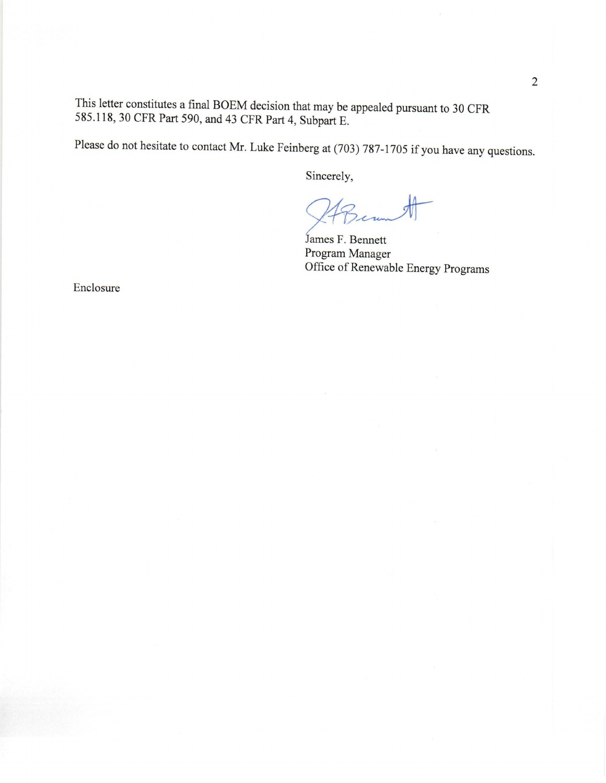This letter constitutes a final BOEM decision that may be appealed pursuant to 30 CFR 585.118, 30 CFR Part 590, and 43 CFR Part 4, Subpart E.

Please do not hesitate to contact Mr. Luke Feinberg at (703) 787-1705 if you have any questions.

Sincerely,

James F. Bennett Program Manager Office of Renewable Energy Programs

Enclosure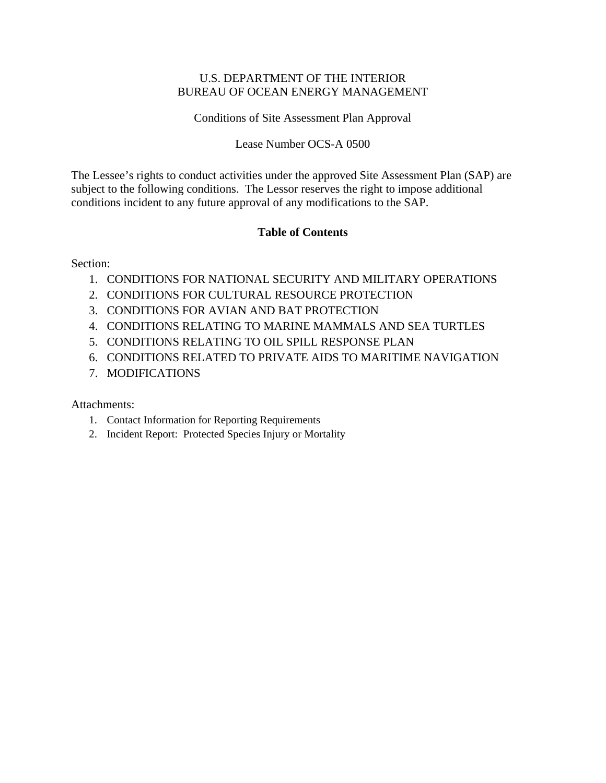#### U.S. DEPARTMENT OF THE INTERIOR BUREAU OF OCEAN ENERGY MANAGEMENT

Conditions of Site Assessment Plan Approval

Lease Number OCS-A 0500

The Lessee's rights to conduct activities under the approved Site Assessment Plan (SAP) are subject to the following conditions. The Lessor reserves the right to impose additional conditions incident to any future approval of any modifications to the SAP.

#### **Table of Contents**

Section:

- 1. CONDITIONS FOR NATIONAL SECURITY AND MILITARY OPERATIONS
- 2. CONDITIONS FOR CULTURAL RESOURCE PROTECTION
- 3. CONDITIONS FOR AVIAN AND BAT PROTECTION
- 4. CONDITIONS RELATING TO MARINE MAMMALS AND SEA TURTLES
- 5. CONDITIONS RELATING TO OIL SPILL RESPONSE PLAN
- 6. CONDITIONS RELATED TO PRIVATE AIDS TO MARITIME NAVIGATION
- 7. MODIFICATIONS

#### Attachments:

- 1. Contact Information for Reporting Requirements
- 2. Incident Report: Protected Species Injury or Mortality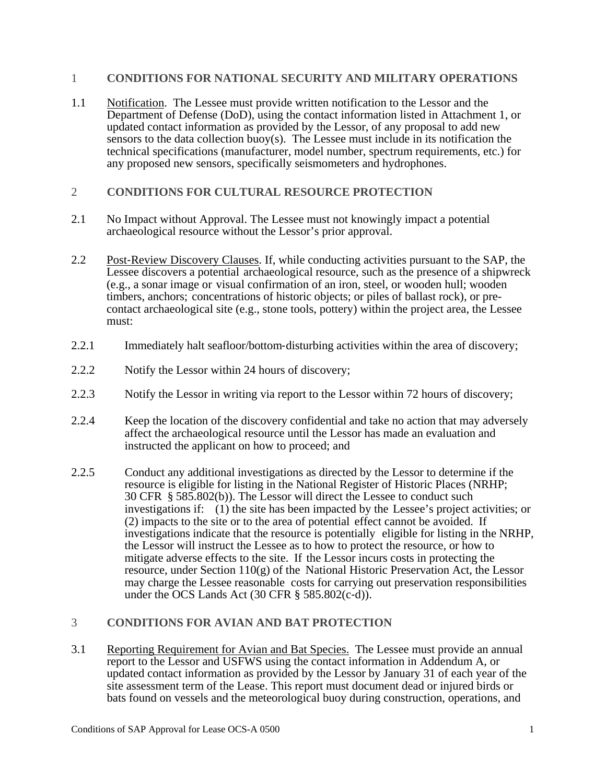#### 1 **CONDITIONS FOR NATIONAL SECURITY AND MILITARY OPERATIONS**

- 1.1 Notification. The Lessee must provide written notification to the Lessor and the Department of Defense (DoD), using the contact information listed in Attachment 1, or updated contact information as provided by the Lessor, of any proposal to add new sensors to the data collection buoy(s). The Lessee must include in its notification the technical specifications (manufacturer, model number, spectrum requirements, etc.) for any proposed new sensors, specifically seismometers and hydrophones.
- 2 **CONDITIONS FOR CULTURAL RESOURCE PROTECTION**
- 2.1 No Impact without Approval. The Lessee must not knowingly impact a potential archaeological resource without the Lessor's prior approval.
- 2.2 Post-Review Discovery Clauses. If, while conducting activities pursuant to the SAP, the Lessee discovers a potential archaeological resource, such as the presence of a shipwreck (e.g., a sonar image or visual confirmation of an iron, steel, or wooden hull; wooden timbers, anchors; concentrations of historic objects; or piles of ballast rock), or precontact archaeological site (e.g., stone tools, pottery) within the project area, the Lessee must:
- 2.2.1 Immediately halt seafloor/bottom-disturbing activities within the area of discovery;
- 2.2.2 Notify the Lessor within 24 hours of discovery;
- 2.2.3 Notify the Lessor in writing via report to the Lessor within 72 hours of discovery;
- 2.2.4 Keep the location of the discovery confidential and take no action that may adversely affect the archaeological resource until the Lessor has made an evaluation and instructed the applicant on how to proceed; and
- 2.2.5 Conduct any additional investigations as directed by the Lessor to determine if the resource is eligible for listing in the National Register of Historic Places (NRHP; 30 CFR § 585.802(b)). The Lessor will direct the Lessee to conduct such investigations if: (1) the site has been impacted by the Lessee's project activities; or (2) impacts to the site or to the area of potential effect cannot be avoided. If investigations indicate that the resource is potentially eligible for listing in the NRHP, the Lessor will instruct the Lessee as to how to protect the resource, or how to mitigate adverse effects to the site. If the Lessor incurs costs in protecting the resource, under Section 110(g) of the National Historic Preservation Act, the Lessor may charge the Lessee reasonable costs for carrying out preservation responsibilities under the OCS Lands Act  $(30 \text{ CFR} \text{ § } 585.802(c-d))$ .

#### 3 **CONDITIONS FOR AVIAN AND BAT PROTECTION**

3.1 Reporting Requirement for Avian and Bat Species. The Lessee must provide an annual report to the Lessor and USFWS using the contact information in Addendum A, or updated contact information as provided by the Lessor by January 31 of each year of the site assessment term of the Lease. This report must document dead or injured birds or bats found on vessels and the meteorological buoy during construction, operations, and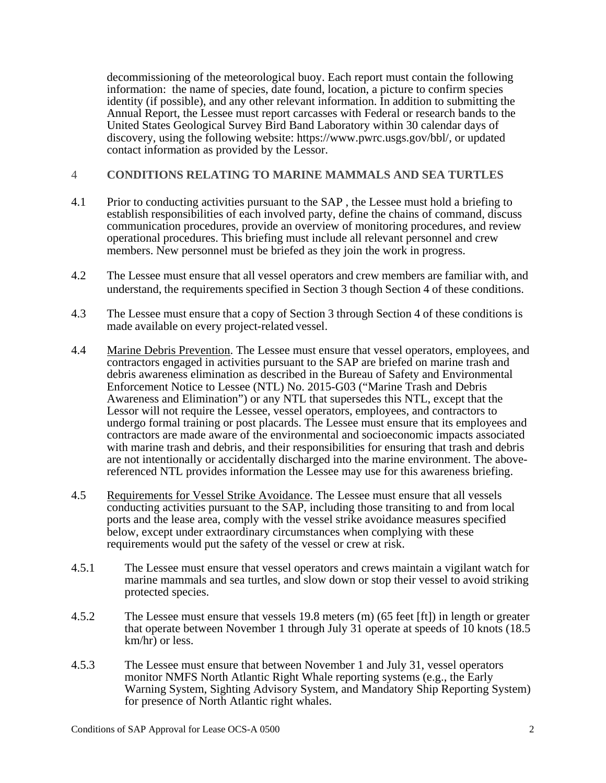decommissioning of the meteorological buoy. Each report must contain the following information: the name of species, date found, location, a picture to confirm species identity (if possible), and any other relevant information. In addition to submitting the Annual Report, the Lessee must report carcasses with Federal or research bands to the United States Geological Survey Bird Band Laboratory within 30 calendar days of discovery, using the following website: https://www.pwrc.usgs.gov/bbl/, or updated contact information as provided by the Lessor.

#### 4 **CONDITIONS RELATING TO MARINE MAMMALS AND SEA TURTLES**

- 4.1 Prior to conducting activities pursuant to the SAP , the Lessee must hold a briefing to establish responsibilities of each involved party, define the chains of command, discuss communication procedures, provide an overview of monitoring procedures, and review operational procedures. This briefing must include all relevant personnel and crew members. New personnel must be briefed as they join the work in progress.
- 4.2 The Lessee must ensure that all vessel operators and crew members are familiar with, and understand, the requirements specified in Section 3 though Section 4 of these conditions.
- 4.3 The Lessee must ensure that a copy of Section 3 through Section 4 of these conditions is made available on every project-related vessel.
- 4.4 Marine Debris Prevention. The Lessee must ensure that vessel operators, employees, and contractors engaged in activities pursuant to the SAP are briefed on marine trash and debris awareness elimination as described in the Bureau of Safety and Environmental Enforcement Notice to Lessee (NTL) No. 2015-G03 ("Marine Trash and Debris Awareness and Elimination") or any NTL that supersedes this NTL, except that the Lessor will not require the Lessee, vessel operators, employees, and contractors to undergo formal training or post placards. The Lessee must ensure that its employees and contractors are made aware of the environmental and socioeconomic impacts associated with marine trash and debris, and their responsibilities for ensuring that trash and debris are not intentionally or accidentally discharged into the marine environment. The abovereferenced NTL provides information the Lessee may use for this awareness briefing.
- 4.5 Requirements for Vessel Strike Avoidance. The Lessee must ensure that all vessels conducting activities pursuant to the SAP, including those transiting to and from local ports and the lease area, comply with the vessel strike avoidance measures specified below, except under extraordinary circumstances when complying with these requirements would put the safety of the vessel or crew at risk.
- 4.5.1 The Lessee must ensure that vessel operators and crews maintain a vigilant watch for marine mammals and sea turtles, and slow down or stop their vessel to avoid striking protected species.
- 4.5.2 The Lessee must ensure that vessels 19.8 meters (m) (65 feet [ft]) in length or greater that operate between November 1 through July 31 operate at speeds of 10 knots (18.5 km/hr) or less.
- 4.5.3 The Lessee must ensure that between November 1 and July 31, vessel operators monitor NMFS North Atlantic Right Whale reporting systems (e.g., the Early Warning System, Sighting Advisory System, and Mandatory Ship Reporting System) for presence of North Atlantic right whales.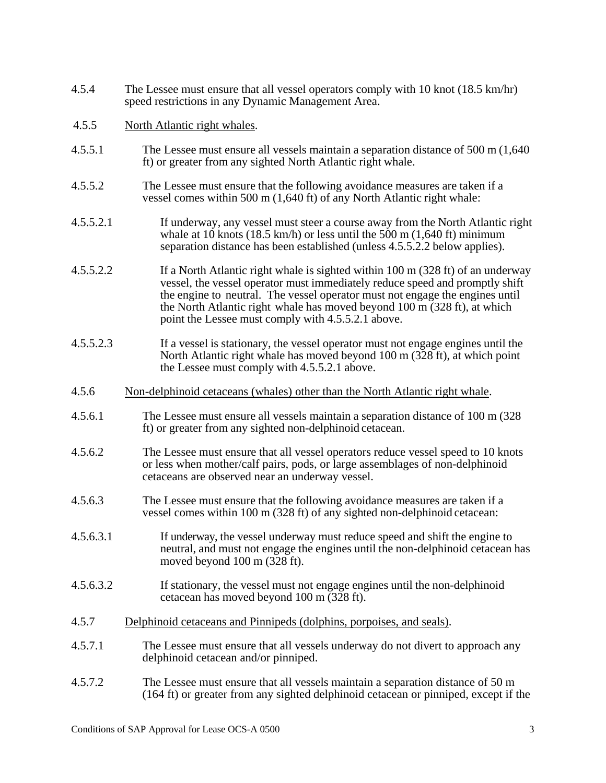- 4.5.4 The Lessee must ensure that all vessel operators comply with 10 knot (18.5 km/hr) speed restrictions in any Dynamic Management Area.
- 4.5.5 North Atlantic right whales.
- 4.5.5.1 The Lessee must ensure all vessels maintain a separation distance of 500 m (1,640 ft) or greater from any sighted North Atlantic right whale.
- 4.5.5.2 The Lessee must ensure that the following avoidance measures are taken if a vessel comes within 500 m (1,640 ft) of any North Atlantic right whale:
- 4.5.5.2.1 If underway, any vessel must steer a course away from the North Atlantic right whale at 10 knots (18.5 km/h) or less until the  $500$  m (1,640 ft) minimum separation distance has been established (unless 4.5.5.2.2 below applies).
- 4.5.5.2.2 If a North Atlantic right whale is sighted within 100 m (328 ft) of an underway vessel, the vessel operator must immediately reduce speed and promptly shift the engine to neutral. The vessel operator must not engage the engines until the North Atlantic right whale has moved beyond 100 m (328 ft), at which point the Lessee must comply with 4.5.5.2.1 above.
- 4.5.5.2.3 If a vessel is stationary, the vessel operator must not engage engines until the North Atlantic right whale has moved beyond 100 m (328 ft), at which point the Lessee must comply with 4.5.5.2.1 above.
- 4.5.6 Non-delphinoid cetaceans (whales) other than the North Atlantic right whale.
- 4.5.6.1 The Lessee must ensure all vessels maintain a separation distance of 100 m (328 ft) or greater from any sighted non-delphinoid cetacean.
- 4.5.6.2 The Lessee must ensure that all vessel operators reduce vessel speed to 10 knots or less when mother/calf pairs, pods, or large assemblages of non-delphinoid cetaceans are observed near an underway vessel.
- 4.5.6.3 The Lessee must ensure that the following avoidance measures are taken if a vessel comes within 100 m (328 ft) of any sighted non-delphinoid cetacean:
- 4.5.6.3.1 If underway, the vessel underway must reduce speed and shift the engine to neutral, and must not engage the engines until the non-delphinoid cetacean has moved beyond 100 m (328 ft).
- 4.5.6.3.2 If stationary, the vessel must not engage engines until the non-delphinoid cetacean has moved beyond 100 m (328 ft).
- 4.5.7 Delphinoid cetaceans and Pinnipeds (dolphins, porpoises, and seals).
- 4.5.7.1 The Lessee must ensure that all vessels underway do not divert to approach any delphinoid cetacean and/or pinniped.
- 4.5.7.2 The Lessee must ensure that all vessels maintain a separation distance of 50 m (164 ft) or greater from any sighted delphinoid cetacean or pinniped, except if the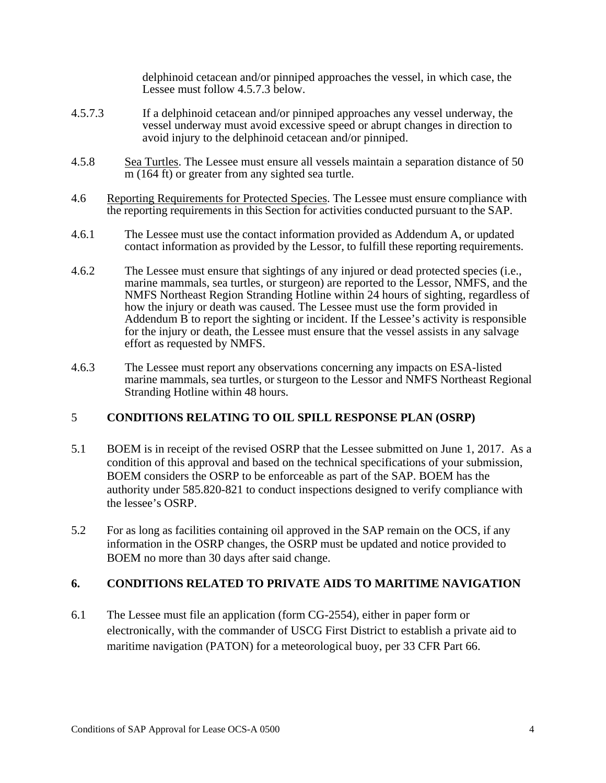delphinoid cetacean and/or pinniped approaches the vessel, in which case, the Lessee must follow 4.5.7.3 below.

- 4.5.7.3 If a delphinoid cetacean and/or pinniped approaches any vessel underway, the vessel underway must avoid excessive speed or abrupt changes in direction to avoid injury to the delphinoid cetacean and/or pinniped.
- 4.5.8 Sea Turtles. The Lessee must ensure all vessels maintain a separation distance of 50 m (164 ft) or greater from any sighted sea turtle.
- 4.6 Reporting Requirements for Protected Species. The Lessee must ensure compliance with the reporting requirements in this Section for activities conducted pursuant to the SAP.
- 4.6.1 The Lessee must use the contact information provided as Addendum A, or updated contact information as provided by the Lessor, to fulfill these reporting requirements.
- 4.6.2 The Lessee must ensure that sightings of any injured or dead protected species (i.e., marine mammals, sea turtles, or sturgeon) are reported to the Lessor, NMFS, and the NMFS Northeast Region Stranding Hotline within 24 hours of sighting, regardless of how the injury or death was caused. The Lessee must use the form provided in Addendum B to report the sighting or incident. If the Lessee's activity is responsible for the injury or death, the Lessee must ensure that the vessel assists in any salvage effort as requested by NMFS.
- 4.6.3 The Lessee must report any observations concerning any impacts on ESA-listed marine mammals, sea turtles, or sturgeon to the Lessor and NMFS Northeast Regional Stranding Hotline within 48 hours.

#### 5 **CONDITIONS RELATING TO OIL SPILL RESPONSE PLAN (OSRP)**

- 5.1 BOEM is in receipt of the revised OSRP that the Lessee submitted on June 1, 2017. As a condition of this approval and based on the technical specifications of your submission, BOEM considers the OSRP to be enforceable as part of the SAP. BOEM has the authority under 585.820-821 to conduct inspections designed to verify compliance with the lessee's OSRP.
- 5.2 For as long as facilities containing oil approved in the SAP remain on the OCS, if any information in the OSRP changes, the OSRP must be updated and notice provided to BOEM no more than 30 days after said change.

#### **6. CONDITIONS RELATED TO PRIVATE AIDS TO MARITIME NAVIGATION**

6.1 The Lessee must file an application (form CG-2554), either in paper form or electronically, with the commander of USCG First District to establish a private aid to maritime navigation (PATON) for a meteorological buoy, per 33 CFR Part 66.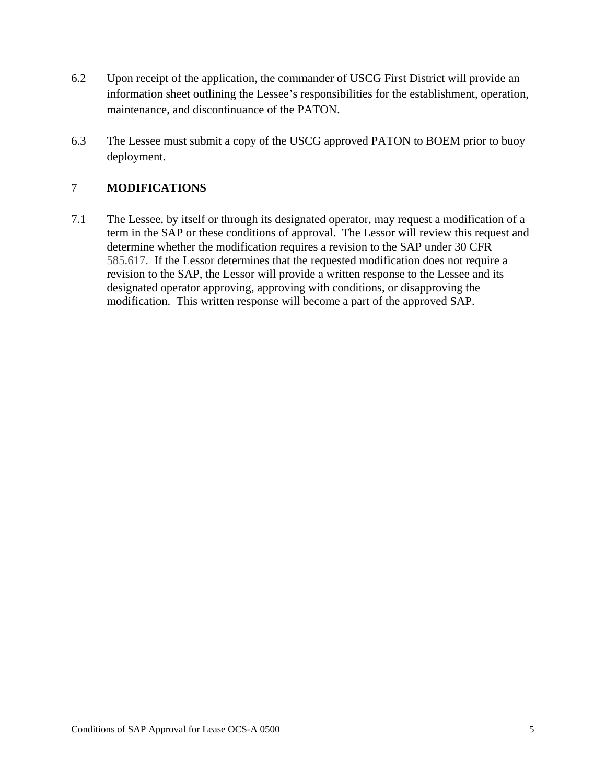- 6.2 Upon receipt of the application, the commander of USCG First District will provide an information sheet outlining the Lessee's responsibilities for the establishment, operation, maintenance, and discontinuance of the PATON.
- 6.3 The Lessee must submit a copy of the USCG approved PATON to BOEM prior to buoy deployment.

### 7 **MODIFICATIONS**

7.1 The Lessee, by itself or through its designated operator, may request a modification of a term in the SAP or these conditions of approval. The Lessor will review this request and determine whether the modification requires a revision to the SAP under 30 CFR 585.617. If the Lessor determines that the requested modification does not require a revision to the SAP, the Lessor will provide a written response to the Lessee and its designated operator approving, approving with conditions, or disapproving the modification. This written response will become a part of the approved SAP.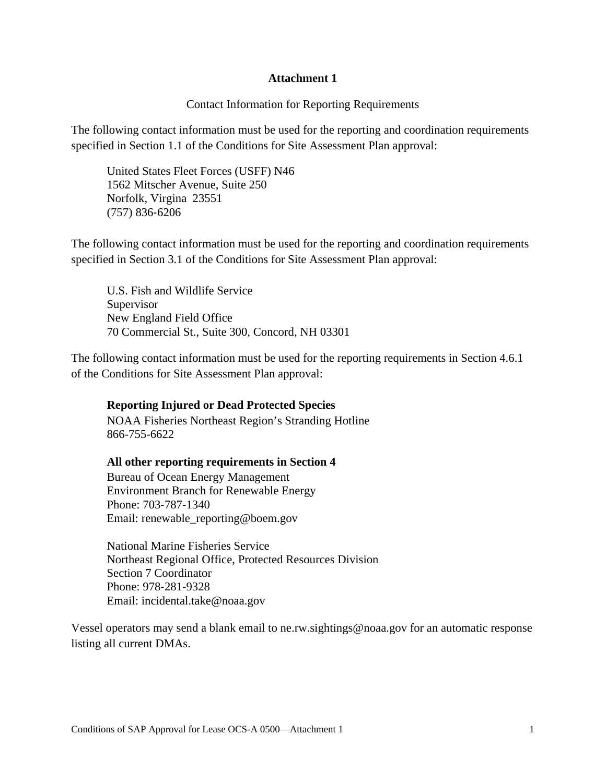#### **Attachment 1**

#### Contact Information for Reporting Requirements

The following contact information must be used for the reporting and coordination requirements specified in Section 1.1 of the Conditions for Site Assessment Plan approval:

United States Fleet Forces (USFF) N46 1562 Mitscher Avenue, Suite 250 Norfolk, Virgina 23551 (757) 836‐6206

The following contact information must be used for the reporting and coordination requirements specified in Section 3.1 of the Conditions for Site Assessment Plan approval:

U.S. Fish and Wildlife Service Supervisor New England Field Office 70 Commercial St., Suite 300, Concord, NH 03301

The following contact information must be used for the reporting requirements in Section 4.6.1 of the Conditions for Site Assessment Plan approval:

#### **Reporting Injured or Dead Protected Species**

NOAA Fisheries Northeast Region's Stranding Hotline 866-755-6622

#### **All other reporting requirements in Section 4**

Bureau of Ocean Energy Management Environment Branch for Renewable Energy Phone: 703‐787‐1340 Email: renewable\_reporting@boem.gov

National Marine Fisheries Service Northeast Regional Office, Protected Resources Division Section 7 Coordinator Phone: 978‐281‐9328 Email: incidental.take@noaa.gov

Vessel operators may send a blank email to ne.rw.sightings@noaa.gov for an automatic response listing all current DMAs.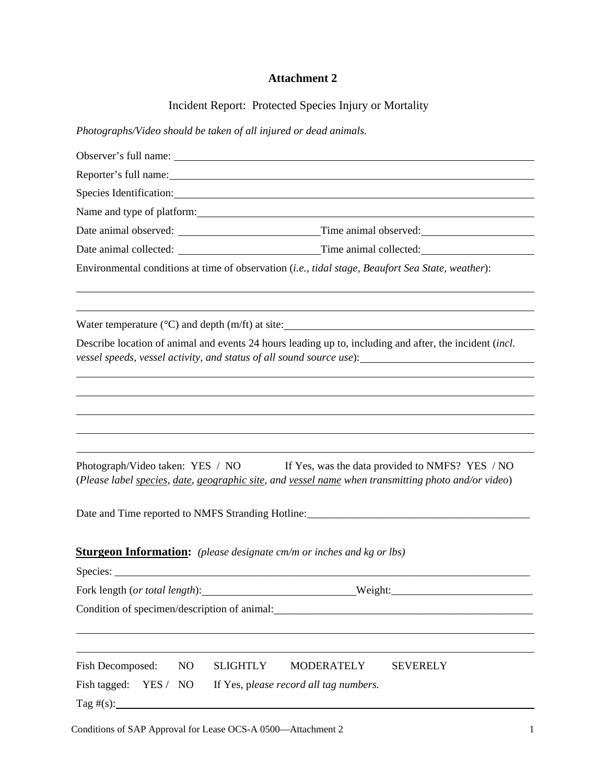## **Attachment 2**

Incident Report: Protected Species Injury or Mortality

*Photographs/Video should be taken of all injured or dead animals.*

|                                              | Observer's full name:                                                                                                                                                                                                   |
|----------------------------------------------|-------------------------------------------------------------------------------------------------------------------------------------------------------------------------------------------------------------------------|
|                                              |                                                                                                                                                                                                                         |
|                                              | Species Identification: Species Identification:                                                                                                                                                                         |
|                                              |                                                                                                                                                                                                                         |
|                                              |                                                                                                                                                                                                                         |
|                                              |                                                                                                                                                                                                                         |
|                                              | Environmental conditions at time of observation (i.e., tidal stage, Beaufort Sea State, weather):                                                                                                                       |
|                                              | Water temperature $(^{\circ}C)$ and depth $(m/ft)$ at site:                                                                                                                                                             |
|                                              | Describe location of animal and events 24 hours leading up to, including and after, the incident <i>(incl.</i> )<br>vessel speeds, vessel activity, and status of all sound source use): ______________________________ |
|                                              |                                                                                                                                                                                                                         |
|                                              |                                                                                                                                                                                                                         |
|                                              |                                                                                                                                                                                                                         |
| Photograph/Video taken: YES / NO             | If Yes, was the data provided to NMFS? YES / NO<br>(Please label species, date, geographic site, and vessel name when transmitting photo and/or video)                                                                  |
|                                              | Date and Time reported to NMFS Stranding Hotline:________________________________                                                                                                                                       |
|                                              | <b>Sturgeon Information:</b> (please designate cm/m or inches and kg or lbs)                                                                                                                                            |
|                                              |                                                                                                                                                                                                                         |
| Fork length (or total length):               | Weight:                                                                                                                                                                                                                 |
| Condition of specimen/description of animal: |                                                                                                                                                                                                                         |
|                                              |                                                                                                                                                                                                                         |
| Fish Decomposed:<br>NO                       | <b>SLIGHTLY</b><br><b>MODERATELY</b><br><b>SEVERELY</b>                                                                                                                                                                 |
| Fish tagged: YES / NO                        | If Yes, please record all tag numbers.                                                                                                                                                                                  |
| $\text{Tag } \#(\mathbf{s})$ :               |                                                                                                                                                                                                                         |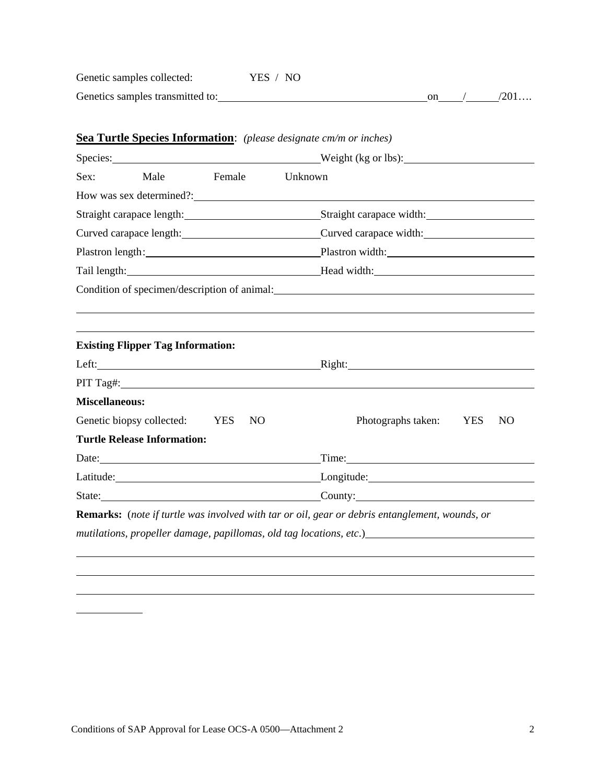| Genetic samples collected:       | YES / NO |  |        |
|----------------------------------|----------|--|--------|
| Genetics samples transmitted to: |          |  | ′201…. |

|                       |                                          |        |    | Species: Weight (kg or lbs):                                                                                   |
|-----------------------|------------------------------------------|--------|----|----------------------------------------------------------------------------------------------------------------|
| Sex:                  | Male                                     | Female |    | Unknown                                                                                                        |
|                       |                                          |        |    | How was sex determined?:                                                                                       |
|                       |                                          |        |    | Straight carapace length: Straight carapace width: Straight carapace width:                                    |
|                       |                                          |        |    | Curved carapace length: Curved carapace width: Curved carapace width:                                          |
|                       |                                          |        |    | Plastron length: Plastron width: Plastron width:                                                               |
|                       |                                          |        |    | Tail length: Head width: Head width:                                                                           |
|                       |                                          |        |    | Condition of specimen/description of animal: 1999 and 2009 and 2009 and 2009 and 2009 and 2009 and 2009 and 20 |
|                       |                                          |        |    |                                                                                                                |
|                       |                                          |        |    |                                                                                                                |
|                       | <b>Existing Flipper Tag Information:</b> |        |    |                                                                                                                |
|                       |                                          |        |    | Right:                                                                                                         |
|                       |                                          |        |    |                                                                                                                |
| <b>Miscellaneous:</b> |                                          |        |    |                                                                                                                |
|                       | Genetic biopsy collected: YES            |        | NO | Photographs taken:<br>N <sub>O</sub><br><b>YES</b>                                                             |
|                       | <b>Turtle Release Information:</b>       |        |    |                                                                                                                |
|                       |                                          |        |    | Time: Time:                                                                                                    |
|                       |                                          |        |    | Latitude: Longitude: Longitude: Longitude:                                                                     |
|                       |                                          |        |    | State: County: County:                                                                                         |
|                       |                                          |        |    | <b>Remarks:</b> (note if turtle was involved with tar or oil, gear or debris entanglement, wounds, or          |
|                       |                                          |        |    |                                                                                                                |

## **Sea Turtle Species Information**: *(please designate cm/m or inches)*

l

 $\sim$